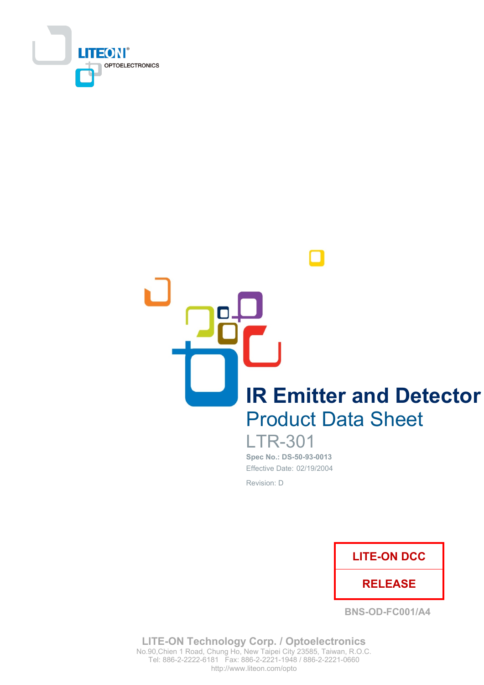

**IR Emitter and Detector Product Data Sheet** 

> **LTR-301** Spec No.: DS-50-93-0013 Effective Date: 02/19/2004 Revision: D



**BNS-OD-FC001/A4** 

**LITE-ON Technology Corp. / Optoelectronics** No.90, Chien 1 Road, Chung Ho, New Taipei City 23585, Taiwan, R.O.C. Tel: 886-2-2222-6181 Fax: 886-2-2221-1948 / 886-2-2221-0660 http://www.liteon.com/opto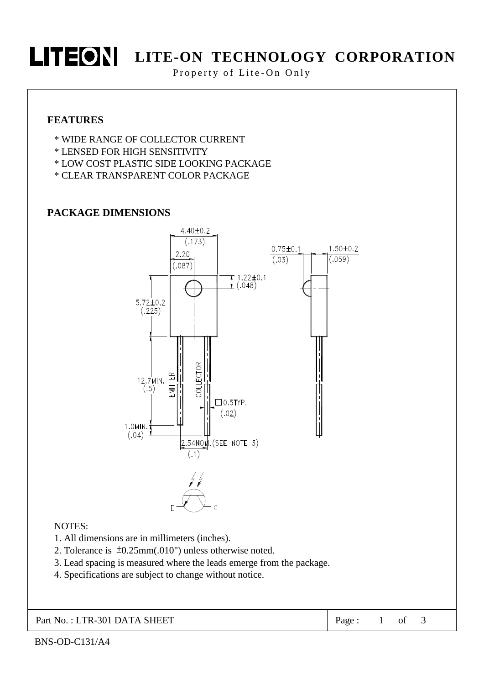

## **LITEON** LITE-ON TECHNOLOGY CORPORATION

Property of Lite-On Only

#### **FEATURES**

- \* WIDE RANGE OF COLLECTOR CURRENT
- \* LENSED FOR HIGH SENSITIVITY
- \* LOW COST PLASTIC SIDE LOOKING PACKAGE
- \* CLEAR TRANSPARENT COLOR PACKAGE

#### **PACKAGE DIMENSIONS**



#### NOTES:

- 1. All dimensions are in millimeters (inches).
- 2. Tolerance is  $\pm 0.25$ mm(.010") unless otherwise noted.
- 3. Lead spacing is measured where the leads emerge from the package.
- 4. Specifications are subject to change without notice.

Part No.: LTR-301 DATA SHEET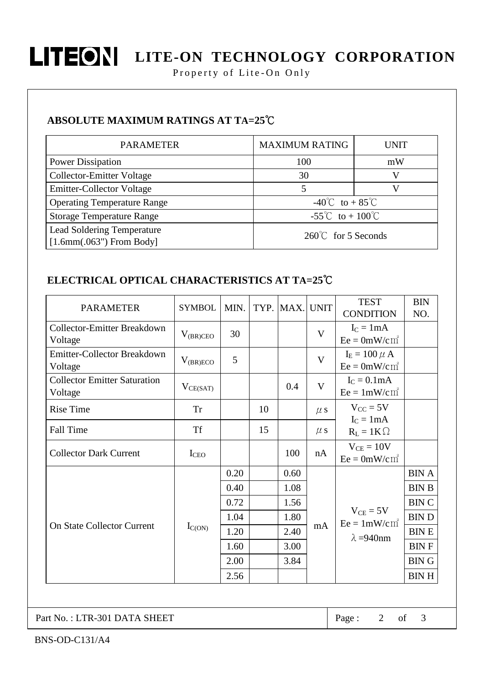

# **LITEON** LITE-ON TECHNOLOGY CORPORATION

Property of Lite-On Only

### **ABSOLUTE MAXIMUM RATINGS AT TA=25°C**

| <b>PARAMETER</b>                                                | <b>MAXIMUM RATING</b>                  | UNIT |  |  |
|-----------------------------------------------------------------|----------------------------------------|------|--|--|
| <b>Power Dissipation</b>                                        | 100                                    | mW   |  |  |
| Collector-Emitter Voltage                                       | 30                                     | V    |  |  |
| <b>Emitter-Collector Voltage</b>                                |                                        | V    |  |  |
| <b>Operating Temperature Range</b>                              | $-40^{\circ}$ C to + 85 <sup>°</sup> C |      |  |  |
| <b>Storage Temperature Range</b>                                | -55°C to + 100°C                       |      |  |  |
| <b>Lead Soldering Temperature</b><br>$[1.6mm(.063")$ From Body] | $260^{\circ}$ C for 5 Seconds          |      |  |  |

## ELECTRICAL OPTICAL CHARACTERISTICS AT TA=25°C

| <b>PARAMETER</b>                               | <b>SYMBOL</b>    | MIN. |    | TYP. MAX. UNIT |              | <b>TEST</b><br><b>CONDITION</b>                        | <b>BIN</b><br>NO. |
|------------------------------------------------|------------------|------|----|----------------|--------------|--------------------------------------------------------|-------------------|
| <b>Collector-Emitter Breakdown</b><br>Voltage  | $V_{(BR)CEO}$    | 30   |    |                | V            | $I_C = 1mA$<br>$Ee = 0mW/cm^2$                         |                   |
| <b>Emitter-Collector Breakdown</b><br>Voltage  | $V_{(BR)ECO}$    | 5    |    |                | V            | $I_E = 100 \mu A$<br>$Ee = 0mW/cm^2$                   |                   |
| <b>Collector Emitter Saturation</b><br>Voltage | $V_{CE(SAT)}$    |      |    | 0.4            | $\mathbf{V}$ | $I_C = 0.1mA$<br>$Ee = 1mW/cm^2$                       |                   |
| <b>Rise Time</b>                               | <b>Tr</b>        |      | 10 |                | $\mu$ s      | $V_{CC}$ = 5V                                          |                   |
| Fall Time                                      | <b>Tf</b>        |      | 15 |                | $\mu$ s      | $I_C = 1mA$<br>$R_L = 1K \Omega$                       |                   |
| <b>Collector Dark Current</b>                  | I <sub>CEO</sub> |      |    | 100            | nA           | $V_{CE} = 10V$<br>$Ee = 0mW/cm^2$                      |                   |
| <b>On State Collector Current</b>              | $I_{C(ON)}$      | 0.20 |    | 0.60           | mA           | $V_{CE} = 5V$<br>$Ee = 1mW/cm^2$<br>$\lambda = 940$ nm | <b>BIN A</b>      |
|                                                |                  | 0.40 |    | 1.08           |              |                                                        | <b>BIN B</b>      |
|                                                |                  | 0.72 |    | 1.56           |              |                                                        | <b>BINC</b>       |
|                                                |                  | 1.04 |    | 1.80           |              |                                                        | <b>BIND</b>       |
|                                                |                  | 1.20 |    | 2.40           |              |                                                        | <b>BINE</b>       |
|                                                |                  | 1.60 |    | 3.00           |              |                                                        | <b>BINF</b>       |
|                                                |                  | 2.00 |    | 3.84           |              |                                                        | <b>BING</b>       |
|                                                |                  | 2.56 |    |                |              |                                                        | <b>BINH</b>       |

Part No.: LTR-301 DATA SHEET

Page:  $2$  of

 $\mathfrak{Z}$